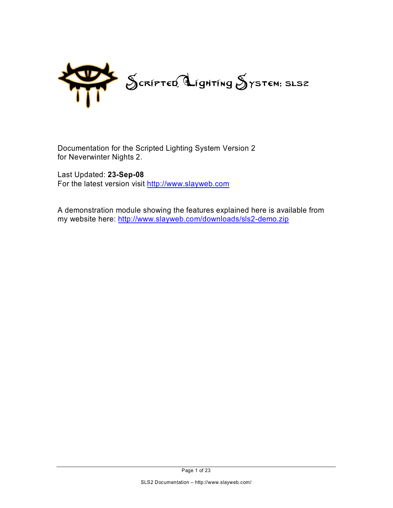

Documentation for the Scripted Lighting System Version 2 for Neverwinter Nights 2.

Last Updated: **23-Sep-08** For the latest version visit<http://www.slayweb.com>

A demonstration module showing the features explained here is available from my website here:<http://www.slayweb.com/downloads/sls2-demo.zip>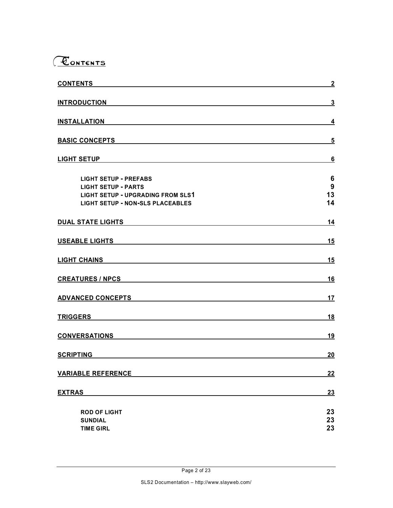

| <b>CONTENTS</b>                          | $\overline{2}$ |
|------------------------------------------|----------------|
| <b>INTRODUCTION</b>                      | 3              |
| <b>INSTALLATION</b>                      | 4              |
| <b>BASIC CONCEPTS</b>                    | 5              |
|                                          |                |
| <b>LIGHT SETUP</b>                       | 6              |
| <b>LIGHT SETUP - PREFABS</b>             | 6              |
| <b>LIGHT SETUP - PARTS</b>               | 9              |
| <b>LIGHT SETUP - UPGRADING FROM SLS1</b> | 13             |
| <b>LIGHT SETUP - NON-SLS PLACEABLES</b>  | 14             |
| <b>DUAL STATE LIGHTS</b>                 | 14             |
| <b>USEABLE LIGHTS</b>                    | 15             |
|                                          | 15             |
| <b>CREATURES / NPCS</b>                  | 16             |
| <b>ADVANCED CONCEPTS</b>                 | 17             |
| <b>TRIGGERS</b>                          | 18             |
| <b>CONVERSATIONS</b>                     | 19             |
| <b>SCRIPTING</b>                         | 20             |
| <b>VARIABLE REFERENCE</b>                | 22             |
| <b>EXTRAS</b>                            | 23             |
| <b>ROD OF LIGHT</b>                      | 23             |
| <b>SUNDIAL</b>                           | 23             |
| <b>TIME GIRL</b>                         | 23             |
|                                          |                |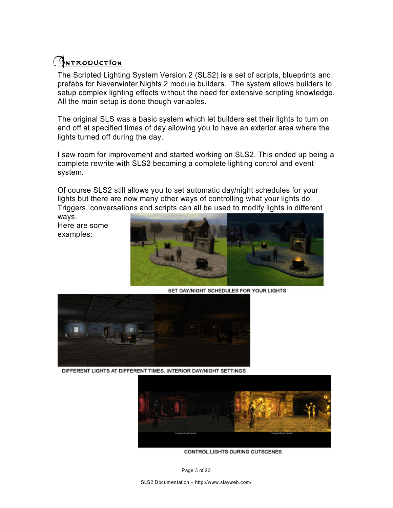## **GNTRODUCTION**

The Scripted Lighting System Version 2 (SLS2) is a set of scripts, blueprints and prefabs for Neverwinter Nights 2 module builders. The system allows builders to setup complex lighting effects without the need for extensive scripting knowledge. All the main setup is done though variables.

The original SLS was a basic system which let builders set their lights to turn on and off at specified times of day allowing you to have an exterior area where the lights turned off during the day.

I saw room for improvement and started working on SLS2. This ended up being a complete rewrite with SLS2 becoming a complete lighting control and event system.

Of course SLS2 still allows you to set automatic day/night schedules for your lights but there are now many other ways of controlling what your lights do. Triggers, conversations and scripts can all be used to modify lights in different

ways. Here are some examples:



SET DAY/NIGHT SCHEDULES FOR YOUR LIGHTS



DIFFERENT LIGHTS AT DIFFERENT TIMES, INTERIOR DAY/NIGHT SETTINGS



CONTROL LIGHTS DURING CUTSCENES

Page 3 of 23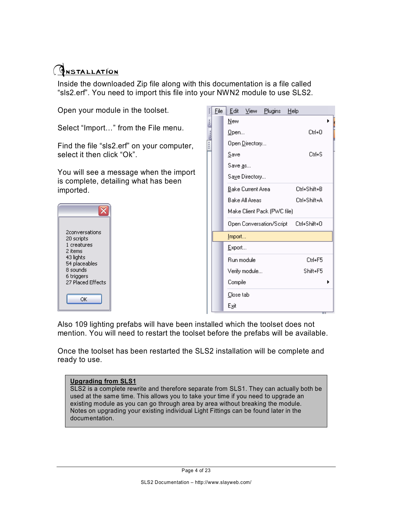### **GNSTALLATION**

Inside the downloaded Zip file along with this documentation is a file called "sls2.erf". You need to import this file into your NWN2 module to use SLS2.

| Open your module in the toolset.                                               | Eile | Edit                      | <b>View</b> | Plugins                     | Help |              |
|--------------------------------------------------------------------------------|------|---------------------------|-------------|-----------------------------|------|--------------|
| Select "Import" from the File menu.                                            |      | <b>New</b><br>$Q$ pen     |             |                             |      | Ctrl+0       |
| Find the file "sls2.erf" on your computer,<br>select it then click "Ok".       |      | Open Directory<br>Save    |             |                             |      | Ctrl+S       |
| You will see a message when the import<br>is complete, detailing what has been |      | Save as<br>Saye Directory |             |                             |      |              |
| imported.                                                                      |      | Bake Current Area         |             |                             |      | Ctrl+Shift+B |
|                                                                                |      | <b>Bake All Areas</b>     |             |                             |      | Ctrl+Shift+A |
| x                                                                              |      |                           |             | Make Client Pack (PWC file) |      |              |
|                                                                                |      |                           |             | Open Conversation/Script    |      | Ctrl+Shift+0 |
| 2conversations<br>20 scripts                                                   |      | Import                    |             |                             |      |              |
| 1 creatures<br>2 items                                                         |      | Export                    |             |                             |      |              |
| 43 lights<br>54 placeables                                                     |      | Run module                |             |                             |      | Ctrl+F5      |
| 8 sounds                                                                       |      | Verify module             |             |                             |      | Shift+F5     |
| 6 triggers<br>27 Placed Effects                                                |      | Compile                   |             |                             |      |              |
| ОК                                                                             |      | Close tab                 |             |                             |      |              |
|                                                                                |      | Exit                      |             |                             |      |              |

Also 109 lighting prefabs will have been installed which the toolset does not mention. You will need to restart the toolset before the prefabs will be available.

 $\blacktriangleright$ 

Once the toolset has been restarted the SLS2 installation will be complete and ready to use.

#### **Upgrading from SLS1**

SLS2 is a complete rewrite and therefore separate from SLS1. They can actually both be used at the same time. This allows you to take your time if you need to upgrade an existing module as you can go through area by area without breaking the module. Notes on upgrading your existing individual Light Fittings can be found later in the documentation.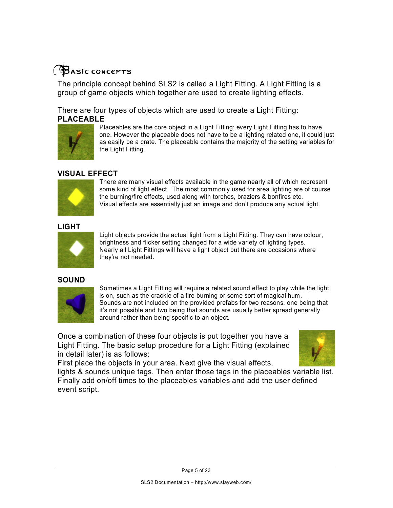

The principle concept behind SLS2 is called a Light Fitting. A Light Fitting is a group of game objects which together are used to create lighting effects.

There are four types of objects which are used to create a Light Fitting: **PLACEABLE**



Placeables are the core object in a Light Fitting; every Light Fitting has to have one. However the placeable does not have to be a lighting related one, it could just as easily be a crate. The placeable contains the majority of the setting variables for the Light Fitting.

#### **VISUAL EFFECT**



There are many visual effects available in the game nearly all of which represent some kind of light effect. The most commonly used for area lighting are of course the burning/fire effects, used along with torches, braziers & bonfires etc. Visual effects are essentially just an image and don't produce any actual light.

#### **LIGHT**



Light objects provide the actual light from a Light Fitting. They can have colour, brightness and flicker setting changed for a wide variety of lighting types. Nearly all Light Fittings will have a light object but there are occasions where they're not needed.

#### **SOUND**



Sometimes a Light Fitting will require a related sound effect to play while the light is on, such as the crackle of a fire burning or some sort of magical hum. Sounds are not included on the provided prefabs for two reasons, one being that it's not possible and two being that sounds are usually better spread generally around rather than being specific to an object.

Once a combination of these four objects is put together you have a Light Fitting. The basic setup procedure for a Light Fitting (explained in detail later) is as follows:



First place the objects in your area. Next give the visual effects,

lights & sounds unique tags. Then enter those tags in the placeables variable list. Finally add on/off times to the placeables variables and add the user defined event script.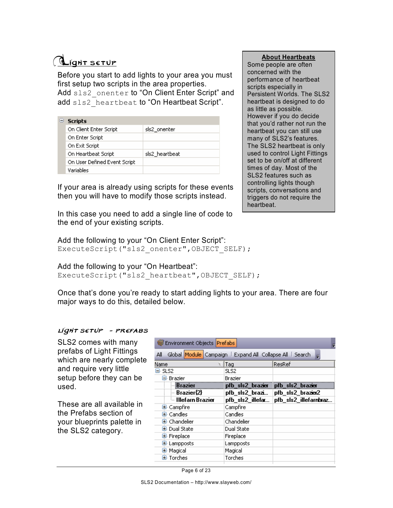## **Light setup**

Before you start to add lights to your area you must first setup two scripts in the area properties. Add sls2 onenter to "On Client Enter Script" and add sls2 heartbeat to "On Heartbeat Script".

|  | <b>Scripts</b>               |                |  |  |
|--|------------------------------|----------------|--|--|
|  | On Client Enter Script       | sls2 onenter   |  |  |
|  | On Enter Script              |                |  |  |
|  | On Exit Script               |                |  |  |
|  | On Heartbeat Script          | sls2 heartbeat |  |  |
|  | On User Defined Event Script |                |  |  |
|  | Variables                    |                |  |  |

If your area is already using scripts for these events then you will have to modify those scripts instead.

In this case you need to add a single line of code to the end of your existing scripts.

Add the following to your "On Client Enter Script": ExecuteScript("sls2\_onenter", OBJECT SELF);

Add the following to your "On Heartbeat": ExecuteScript("sls2 heartbeat", OBJECT SELF);

Once that's done you're ready to start adding lights to your area. There are four major ways to do this, detailed below.

#### light setup - prefabs

SLS2 comes with many prefabs of Light Fittings which are nearly complete and require very little setup before they can be used.

These are all available in the Prefabs section of your blueprints palette in the SLS2 category.

| Environment Objects Prefabs                                      |                  |                       |  |  |  |  |  |  |
|------------------------------------------------------------------|------------------|-----------------------|--|--|--|--|--|--|
| Global Module Campaign   Expand All Collapse All   Search<br>All |                  |                       |  |  |  |  |  |  |
| Name                                                             | Tag              | ResRef                |  |  |  |  |  |  |
| ⊟-SLS2                                                           | SLS2.            |                       |  |  |  |  |  |  |
| ⊟- Brazier                                                       | Brazier          |                       |  |  |  |  |  |  |
| <b>Brazier</b>                                                   | pfb_sls2_brazier | pfb_sls2_brazier      |  |  |  |  |  |  |
| $=$ Brazier{2} $\,$                                              | pfb_sls2_brazi   | pfb_sls2_brazier2     |  |  |  |  |  |  |
| $^{\mathbb{L}}$ Illefarn Brazier                                 | pfb_sls2_illefar | pfb_sls2_illefarnbraz |  |  |  |  |  |  |
| 国 Campfire                                                       | Campfire         |                       |  |  |  |  |  |  |
| 国· Candles                                                       | Candles          |                       |  |  |  |  |  |  |
| $\mathbf{\Xi}$ Chandelier                                        | Chandelier       |                       |  |  |  |  |  |  |
| 国· Dual State                                                    | Dual State       |                       |  |  |  |  |  |  |
| 国· Fireplace                                                     | Fireplace        |                       |  |  |  |  |  |  |
| 国 Lampposts                                                      | Lampposts        |                       |  |  |  |  |  |  |
| 国 Magical                                                        | Magical          |                       |  |  |  |  |  |  |
| 国 Torches                                                        | Torches          |                       |  |  |  |  |  |  |

Page 6 of 23

Some people are often concerned with the performance of heartbeat scripts especially in Persistent Worlds. The SLS2 heartbeat is designed to do as little as possible. However if you do decide that you'd rather not run the heartbeat you can still use many of SLS2's features. The SLS2 heartbeat is only used to control Light Fittings set to be on/off at different times of day. Most of the SLS2 features such as controlling lights though scripts, conversations and triggers do not require the heartbeat.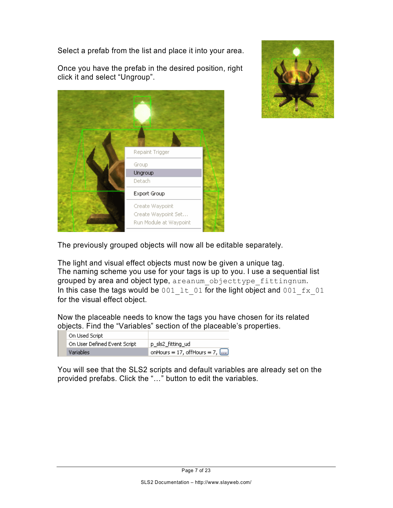Select a prefab from the list and place it into your area.







The previously grouped objects will now all be editable separately.

The light and visual effect objects must now be given a unique tag. The naming scheme you use for your tags is up to you. I use a sequential list grouped by area and object type, areanum objecttype fittingnum. In this case the tags would be 001  $1t$  01 for the light object and 001  $fx$  01 for the visual effect object.

Now the placeable needs to know the tags you have chosen for its related objects. Find the "Variables" section of the placeable's properties.

| On Used Script               |                                       |
|------------------------------|---------------------------------------|
| On User Defined Event Script | p_sls2_fitting_ud                     |
| <b>Variables</b>             | onHours = 17, offHours = 7, $[\dots]$ |

You will see that the SLS2 scripts and default variables are already set on the provided prefabs. Click the "…" button to edit the variables.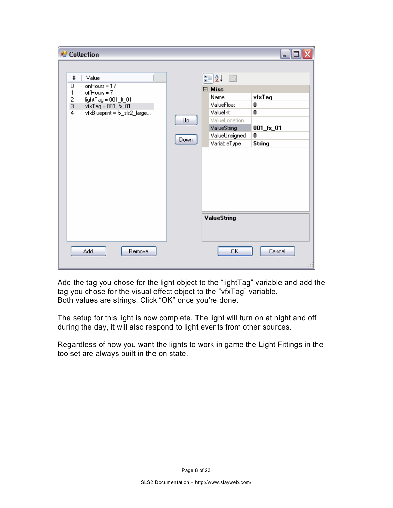| <sup>e</sup> Collection                                                                                                                                                        |                   |                                                                                                                                                                                 | ÷.                                                                |
|--------------------------------------------------------------------------------------------------------------------------------------------------------------------------------|-------------------|---------------------------------------------------------------------------------------------------------------------------------------------------------------------------------|-------------------------------------------------------------------|
| Value<br>$\sharp$<br>onHours = 17<br>0<br>1<br>$offHours = 7$<br>$\frac{2}{3}$<br>lightTag = 001_lt_01<br>vfxTag = 001_fx_01<br>$\overline{4}$<br>vfxBlueprint = fx_sls2_large | Up<br><b>Down</b> | $\frac{1}{2}$ $\frac{1}{2}$ $\frac{1}{2}$<br>$\boxminus$ Misc<br>Name<br>ValueFloat<br>ValueInt<br>ValueLocation<br>ValueString<br>ValueUnsigned<br>VariableType<br>ValueString | vfxT ag<br>0<br>0<br>$001$ $[x_0 1]$<br>$\bf{0}$<br><b>String</b> |
| Add<br>Remove                                                                                                                                                                  |                   | ОК                                                                                                                                                                              | Cancel                                                            |

Add the tag you chose for the light object to the "lightTag" variable and add the tag you chose for the visual effect object to the "vfxTag" variable. Both values are strings. Click "OK" once you're done.

The setup for this light is now complete. The light will turn on at night and off during the day, it will also respond to light events from other sources.

Regardless of how you want the lights to work in game the Light Fittings in the toolset are always built in the on state.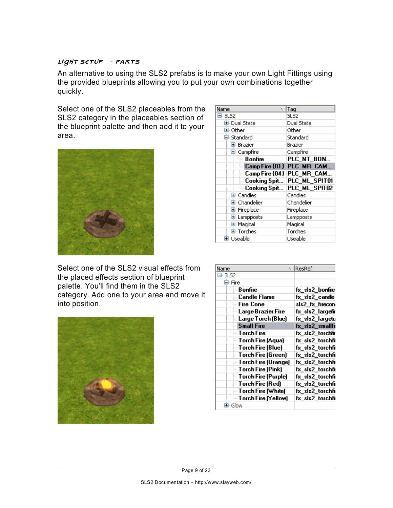#### light setup - parts

An alternative to using the SLS2 prefabs is to make your own Light Fittings using the provided blueprints allowing you to put your own combinations together quickly.

Select one of the SLS2 placeables from the SLS2 category in the placeables section of the blueprint palette and then add it to your area.



| Name<br>v                      | Tag                         |  |  |
|--------------------------------|-----------------------------|--|--|
| ⊟-SLS2                         | SLS2                        |  |  |
| 国· Dual State                  | <b>Dual State</b>           |  |  |
| 国· Other                       | Other                       |  |  |
| ⊟ Standard                     | Standard                    |  |  |
| 国· Brazier                     | Brazier                     |  |  |
| ⊟- Campfire                    | Campfire                    |  |  |
| - Bonfire                      | PLC_NT_BON                  |  |  |
|                                | - Camp Fire {01} PLC_MR_CAM |  |  |
| $\,$ - Camp Fire {04} $\,$     | PLC MR CAM                  |  |  |
| - Cooking Spit                 | PLC_ML_SPIT01               |  |  |
| └└ Cooking Spit…               | PLC_ML_SPIT02               |  |  |
| $\mathbf{\Xi}\cdot$ Candles    | Candles                     |  |  |
| $\mathbf{\Xi}\cdot$ Chandelier | Chandelier                  |  |  |
| 国 Fireplace                    | Fireplace                   |  |  |
| 国 Lampposts                    | Lampposts                   |  |  |
| 国· Magical                     | Magical                     |  |  |
| Torches<br>国 Torches           |                             |  |  |
| 国· Useable                     | Useable                     |  |  |

Select one of the SLS2 visual effects from the placed effects section of blueprint palette. You'll find them in the SLS2 category. Add one to your area and move it into position.



| Name                         | ResRef                  |
|------------------------------|-------------------------|
| ⊟-SLS2                       |                         |
| ⊟-Fire                       |                         |
| - Bonfire                    | fx sls2 bonfire         |
| <b>Candle Flame</b>          | fx_sls2_candle          |
| – Fire Cone                  | sls2_fx_firecon         |
| Large Brazier Fire           | fx sls2 largef <b>r</b> |
| Large Torch (Blue)           | fx_sls2_largeto         |
| … Small Fire                 | fx_sls2_smallfi         |
| — Torch Fire                 | fx sls2 torchfir        |
| — Torch Fire (Aqua)          | fx sls2 torchfi         |
| Torch Fire (Blue)            | fx_sls2_torchfi         |
| Forch Fire (Green) ו-        | fx sls2 torchfi         |
| <b>Torch Fire (Orange)</b> [ | fx_sls2_torchfi         |
| Forch Fire (Pink) [          | fx_sls2_torchfi         |
| Torch Fire (Purple)          | fx sls2 torchfi         |
| – Torch Fire (Red)           | fx sls2 torchfi         |
| Torch Fire (White) [         | fx_sls2_torchfi         |
| └ Torch Fire (Yellow)        | fx sls2 torchfi         |
| 国· Glow                      |                         |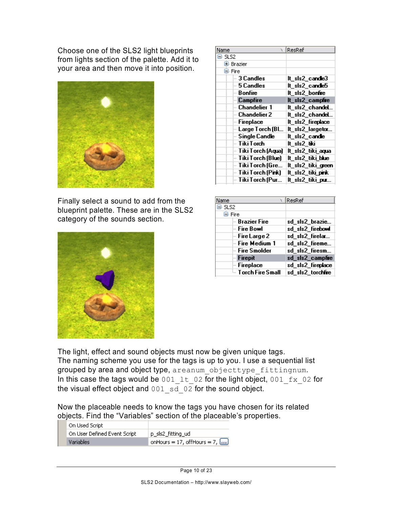Choose one of the SLS2 light blueprints from lights section of the palette. Add it to your area and then move it into position.



Finally select a sound to add from the blueprint palette. These are in the SLS2 category of the sounds section.



| Name                | ∖ ∣ResRef          |
|---------------------|--------------------|
| ⊟- SLS2             |                    |
| 国 Brazier           |                    |
| ⊟-Fire              |                    |
| - 3 Candles         | lt sis2 cande3     |
| 5 Candles           | lt_sls2_candle5    |
| <b>Bonfire</b>      | It_sls2_bonfre     |
| <b>Campfire</b>     | It_sls2_campfre    |
| -- Chandelier 1     | lt_sls2_chandeL    |
| - Chandelier 2      | It_sls2_chandel    |
| -- Fireplace        | It sis2 fireplace  |
| Large Torch (Bl     | It_sls2_largetor   |
| - Single Candle     | lt sis2 candie     |
| – Tiki Torch        | lt sis2 tiki       |
| — Tiki Torch (Aqua) | It_sls2_tiki_aqua  |
| – Tiki Torch (Blue) | It_sIs2_tiki_blue  |
| — Tiki Torch (Gre…  | lt_sls2_tiki_green |
| – Tiki Torch (Pink) | It sis2 tiki pink  |
| -- Tiki Torch (Pur  | It_sls2_tiki_pur   |

| Name                | ResRef            |
|---------------------|-------------------|
| E SLS2              |                   |
| <b>⊟</b> · Fire     |                   |
| <b>Brazier Fire</b> | sd_sls2_brazie    |
| — Fire Bowl         | sd_sls2_firebowl  |
| – Fire Large 2      | sd_sls2_firelar   |
| – Fire Medium 1     | sd_sls2_fireme    |
| - Fire Smolder      | sd_sls2_firesm    |
| Firepit             | sd_sls2_campfre   |
| - Fireplace         | sd_sls2_fireplace |
|                     | sd_sls2_torchfre  |

The light, effect and sound objects must now be given unique tags. The naming scheme you use for the tags is up to you. I use a sequential list grouped by area and object type, areanum objecttype fittingnum. In this case the tags would be 001\_1t\_02 for the light object, 001\_fx\_02 for the visual effect object and  $001 \overline{sd}$   $02 \overline{d}$  for the sound object.

Now the placeable needs to know the tags you have chosen for its related objects. Find the "Variables" section of the placeable's properties.

| On Used Script               |                                        |
|------------------------------|----------------------------------------|
| On User Defined Event Script | p_sls2_fitting_ud                      |
| <b>Variables</b>             | onHours = 17, offHours = 7, $\boxed{}$ |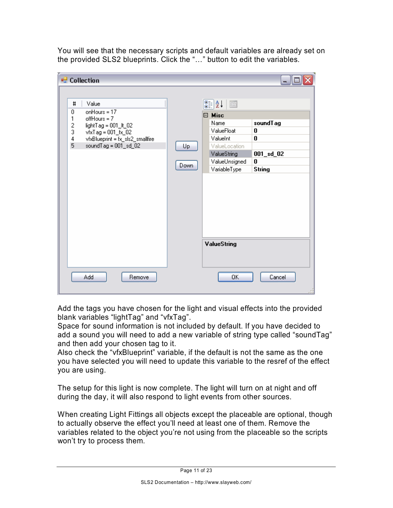You will see that the necessary scripts and default variables are already set on the provided SLS2 blueprints. Click the "…" button to edit the variables.

| <b>Collection</b>                           |      |                              | ä                    |
|---------------------------------------------|------|------------------------------|----------------------|
|                                             |      |                              |                      |
| #<br>Value                                  |      |                              |                      |
| on $Hours = 17$<br>0<br>1<br>$offHours = 7$ |      | □ Misc                       |                      |
| lightTag = 001_lt_02                        |      | Name                         | soundTag             |
| $\frac{2}{3}$<br>vfxTag = 001_fx_02         |      | ValueFloat                   | 0                    |
| 4<br>vfxBlueprint = fx_sls2_smallfire       |      | ValueInt                     | 0                    |
| 5<br>soundTag = 001_sd_02                   | Up   | ValueLocation                |                      |
|                                             |      | ValueString<br>ValueUnsigned | $001$ _sd_ $02$<br>0 |
|                                             | Down | VariableType                 | <b>String</b>        |
|                                             |      |                              |                      |
|                                             |      |                              |                      |
|                                             |      |                              |                      |
|                                             |      |                              |                      |
|                                             |      |                              |                      |
|                                             |      |                              |                      |
|                                             |      |                              |                      |
|                                             |      |                              |                      |
|                                             |      | ValueString                  |                      |
|                                             |      |                              |                      |
|                                             |      |                              |                      |
|                                             |      |                              |                      |
| Add<br>Remove                               |      | OΚ                           | Cancel               |
|                                             |      |                              |                      |

Add the tags you have chosen for the light and visual effects into the provided blank variables "lightTag" and "vfxTag".

Space for sound information is not included by default. If you have decided to add a sound you will need to add a new variable of string type called "soundTag" and then add your chosen tag to it.

Also check the "vfxBlueprint" variable, if the default is not the same as the one you have selected you will need to update this variable to the resref of the effect you are using.

The setup for this light is now complete. The light will turn on at night and off during the day, it will also respond to light events from other sources.

When creating Light Fittings all objects except the placeable are optional, though to actually observe the effect you'll need at least one of them. Remove the variables related to the object you're not using from the placeable so the scripts won't try to process them.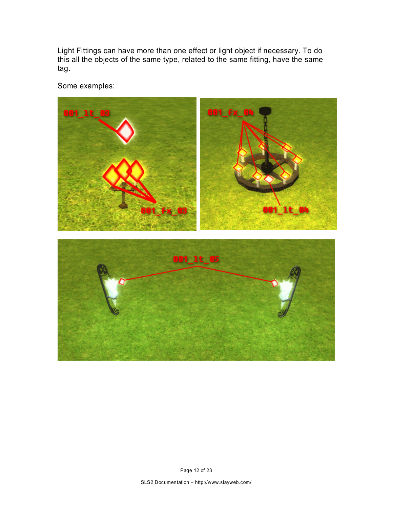Light Fittings can have more than one effect or light object if necessary. To do this all the objects of the same type, related to the same fitting, have the same tag.

Some examples:

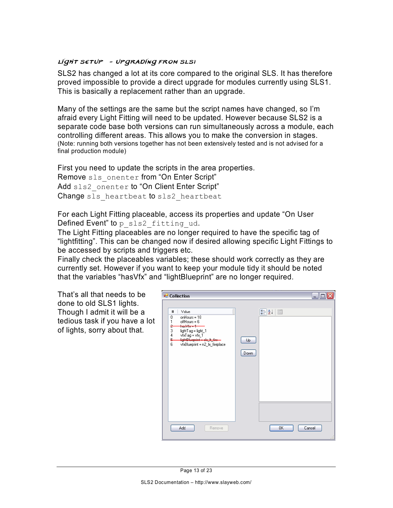#### light setup - upgrading from sls1

SLS2 has changed a lot at its core compared to the original SLS. It has therefore proved impossible to provide a direct upgrade for modules currently using SLS1. This is basically a replacement rather than an upgrade.

Many of the settings are the same but the script names have changed, so I'm afraid every Light Fitting will need to be updated. However because SLS2 is a separate code base both versions can run simultaneously across a module, each controlling different areas. This allows you to make the conversion in stages. (Note: running both versions together has not been extensively tested and is not advised for a final production module)

First you need to update the scripts in the area properties. Remove sls\_onenter from "On Enter Script" Add sls2\_onenter to "On Client Enter Script" Change sls heartbeat to sls2 heartbeat

For each Light Fitting placeable, access its properties and update "On User Defined Event" to p sls2 fitting ud.

The Light Fitting placeables are no longer required to have the specific tag of "lightfitting". This can be changed now if desired allowing specific Light Fittings to be accessed by scripts and triggers etc.

Finally check the placeables variables; these should work correctly as they are currently set. However if you want to keep your module tidy it should be noted that the variables "hasVfx" and "lightBlueprint" are no longer required.

That's all that needs to be done to old SLS1 lights. Though I admit it will be a tedious task if you have a lot of lights, sorry about that.

| <sup>o</sup> Collection                                                                                                                                                     |            | - 10         |
|-----------------------------------------------------------------------------------------------------------------------------------------------------------------------------|------------|--------------|
| Value<br>$\sharp$<br>$on$ Hours = $18$<br>0<br>1<br>$offHours = 6$<br>hasVfx— <del>1</del><br>÷<br>3<br>lightTag = light_1<br>4<br>5<br>6<br>vfxBlueprint = n2_fx_fireplace | Up<br>Down | 81216        |
| Add<br>Remove                                                                                                                                                               |            | 0K<br>Cancel |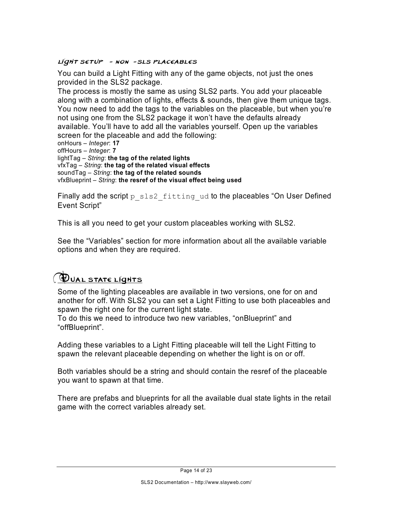#### light setup - non-sls placeables

You can build a Light Fitting with any of the game objects, not just the ones provided in the SLS2 package.

The process is mostly the same as using SLS2 parts. You add your placeable along with a combination of lights, effects & sounds, then give them unique tags. You now need to add the tags to the variables on the placeable, but when you're not using one from the SLS2 package it won't have the defaults already available. You'll have to add all the variables yourself. Open up the variables screen for the placeable and add the following:

onHours – *Integer*: **17** offHours – *Integer*: **7** lightTag – *String*: **the tag of the related lights** vfxTag – *String*: **the tag of the related visual effects** soundTag – *String*: **the tag of the related sounds** vfxBlueprint – *String*: **the resref of the visual effect being used**

Finally add the script  $p$  sls2 fitting ud to the placeables "On User Defined Event Script"

This is all you need to get your custom placeables working with SLS2.

See the "Variables" section for more information about all the available variable options and when they are required.

### *DUAL STATE LIGHTS*

Some of the lighting placeables are available in two versions, one for on and another for off. With SLS2 you can set a Light Fitting to use both placeables and spawn the right one for the current light state.

To do this we need to introduce two new variables, "onBlueprint" and "offBlueprint".

Adding these variables to a Light Fitting placeable will tell the Light Fitting to spawn the relevant placeable depending on whether the light is on or off.

Both variables should be a string and should contain the resref of the placeable you want to spawn at that time.

There are prefabs and blueprints for all the available dual state lights in the retail game with the correct variables already set.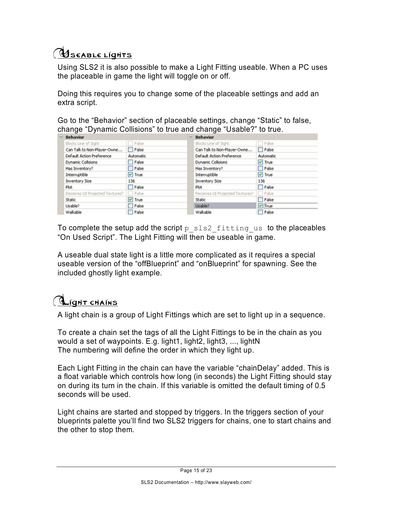# **USEABLE LIGHTS**

Using SLS2 it is also possible to make a Light Fitting useable. When a PC uses the placeable in game the light will toggle on or off.

Doing this requires you to change some of the placeable settings and add an extra script.

Go to the "Behavior" section of placeable settings, change "Static" to false, change "Dynamic Collisions" to true and change "Usable?" to true.

| <b>Behavior</b>                 | Behavior     |  |                                 |              |
|---------------------------------|--------------|--|---------------------------------|--------------|
| Blocks Line of Sight            | False        |  | Blocks Line of Sight            | False        |
| Can Talk to Non-Player-Owne     | False        |  | Can Talk to Non-Player-Owne     | $\Box$ False |
| Default Action Preference       | Automatic    |  | Default Action Preference       | Automatic    |
| Dynamic Collisions              | False        |  | Dynamic Collisions              | $V$ True     |
| Has Inventory?                  | <b>False</b> |  | Has Inventory?                  | $\Box$ False |
| Interruptible                   | $\vee$ True  |  | Interruptible                   | $V$ True     |
| Inventory Size                  | 136          |  | Inventory Size                  | 136          |
| Plot                            | False        |  | Plot                            | False        |
| Receives UI Projected Textures? | False        |  | Receives UI Projected Textures? | False        |
| Static                          | $\vee$ True  |  | Static                          | False        |
| Usable?                         | False        |  | Usable?                         | $V$ True     |
| Walkable                        | False        |  | Walkable                        | False        |

To complete the setup add the script  $p$  sls2 fitting us to the placeables "On Used Script". The Light Fitting will then be useable in game.

A useable dual state light is a little more complicated as it requires a special useable version of the "offBlueprint" and "onBlueprint" for spawning. See the included ghostly light example.

# **Light chains**

A light chain is a group of Light Fittings which are set to light up in a sequence.

To create a chain set the tags of all the Light Fittings to be in the chain as you would a set of waypoints. E.g. light1, light2, light3, ..., lightN The numbering will define the order in which they light up.

Each Light Fitting in the chain can have the variable "chainDelay" added. This is a float variable which controls how long (in seconds) the Light Fitting should stay on during its turn in the chain. If this variable is omitted the default timing of 0.5 seconds will be used.

Light chains are started and stopped by triggers. In the triggers section of your blueprints palette you'll find two SLS2 triggers for chains, one to start chains and the other to stop them.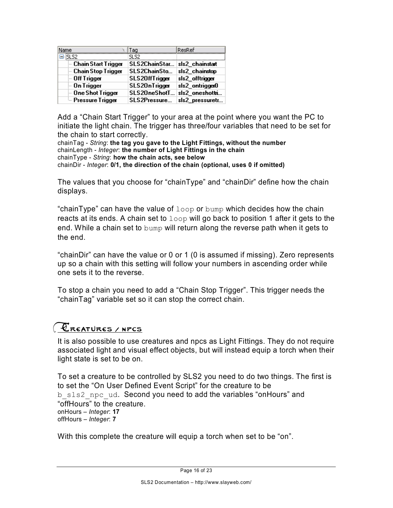| <b>Name</b>                | Tag            | ResRef          |
|----------------------------|----------------|-----------------|
| -isi s2                    | SL S2.         |                 |
| <b>Chain Start Trigger</b> | SLS2ChainStar. | sls2 chainstart |
| - Chain Stop Trigger       | SLS2ChainSto   | sls2 chainstop  |
| - Off Trigger              | SLS20ffTrigger | sls2_offtrigger |
| - On Trigger               | SLS20nTrigger  | sls2_ontrigger0 |
| - One Shot Trigger         | SLS20neShotT   | sls2_oneshottni |
| <b>Execute Trigger</b>     | SLS2Pressure   | sls2_pressuretr |

Add a "Chain Start Trigger" to your area at the point where you want the PC to initiate the light chain. The trigger has three/four variables that need to be set for the chain to start correctly.

chainTag - *String*: **the tag you gave to the Light Fittings, without the number** chainLength - *Integer*: **the number of Light Fittings in the chain** chainType - *String*: **how the chain acts, see below** chainDir - *Integer*: **0/1, the direction of the chain (optional, uses 0 if omitted)**

The values that you choose for "chainType" and "chainDir" define how the chain displays.

"chainType" can have the value of  $1$ oop or bump which decides how the chain reacts at its ends. A chain set to  $loop$  will go back to position 1 after it gets to the end. While a chain set to bump will return along the reverse path when it gets to the end.

"chainDir" can have the value or 0 or 1 (0 is assumed if missing). Zero represents up so a chain with this setting will follow your numbers in ascending order while one sets it to the reverse.

To stop a chain you need to add a "Chain Stop Trigger". This trigger needs the "chainTag" variable set so it can stop the correct chain.

### **CREATURES / NPCS**

It is also possible to use creatures and npcs as Light Fittings. They do not require associated light and visual effect objects, but will instead equip a torch when their light state is set to be on.

To set a creature to be controlled by SLS2 you need to do two things. The first is to set the "On User Defined Event Script" for the creature to be b sls2 npc ud. Second you need to add the variables "onHours" and "offHours" to the creature. onHours – *Integer*: **17** offHours – *Integer*: **7**

With this complete the creature will equip a torch when set to be "on".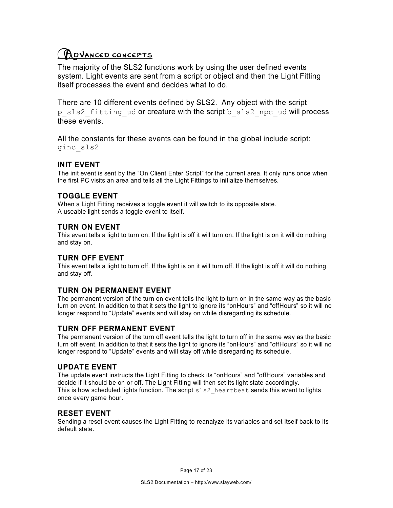### **ADVANCED CONCEPTS**

The majority of the SLS2 functions work by using the user defined events system. Light events are sent from a script or object and then the Light Fitting itself processes the event and decides what to do.

There are 10 different events defined by SLS2. Any object with the script p sls2 fitting ud or creature with the script b sls2 npc ud will process these events.

All the constants for these events can be found in the global include script: ginc\_sls2

#### **INIT EVENT**

The init event is sent by the "On Client Enter Script" for the current area. It only runs once when the first PC visits an area and tells all the Light Fittings to initialize themselves.

#### **TOGGLE EVENT**

When a Light Fitting receives a toggle event it will switch to its opposite state. A useable light sends a toggle event to itself.

#### **TURN ON EVENT**

This event tells a light to turn on. If the light is off it will turn on. If the light is on it will do nothing and stay on.

#### **TURN OFF EVENT**

This event tells a light to turn off. If the light is on it will turn off. If the light is off it will do nothing and stay off.

#### **TURN ON PERMANENT EVENT**

The permanent version of the turn on event tells the light to turn on in the same way as the basic turn on event. In addition to that it sets the light to ignore its "onHours" and "offHours" so it will no longer respond to "Update" events and will stay on while disregarding its schedule.

#### **TURN OFF PERMANENT EVENT**

The permanent version of the turn off event tells the light to turn off in the same way as the basic turn off event. In addition to that it sets the light to ignore its "onHours" and "offHours" so it will no longer respond to "Update" events and will stay off while disregarding its schedule.

#### **UPDATE EVENT**

The update event instructs the Light Fitting to check its "onHours" and "offHours" variables and decide if it should be on or off. The Light Fitting will then set its light state accordingly. This is how scheduled lights function. The script  $sls2$  heartbeat sends this event to lights once every game hour.

#### **RESET EVENT**

Sending a reset event causes the Light Fitting to reanalyze its variables and set itself back to its default state.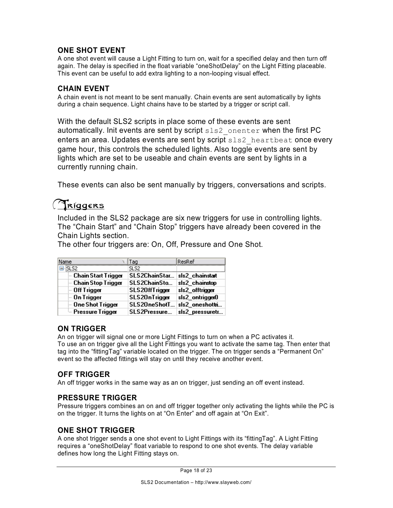#### **ONE SHOT EVENT**

A one shot event will cause a Light Fitting to turn on, wait for a specified delay and then turn off again. The delay is specified in the float variable "oneShotDelay" on the Light Fitting placeable. This event can be useful to add extra lighting to a non-looping visual effect.

#### **CHAIN EVENT**

A chain event is not meant to be sent manually. Chain events are sent automatically by lights during a chain sequence. Light chains have to be started by a trigger or script call.

With the default SLS2 scripts in place some of these events are sent automatically. Init events are sent by script  $sls2$  onenter when the first PC enters an area. Updates events are sent by script  $sls2$  heartbeat once every game hour, this controls the scheduled lights. Also toggle events are sent by lights which are set to be useable and chain events are sent by lights in a currently running chain.

These events can also be sent manually by triggers, conversations and scripts.

### Triggers

Included in the SLS2 package are six new triggers for use in controlling lights. The "Chain Start" and "Chain Stop" triggers have already been covered in the Chain Lights section.

The other four triggers are: On, Off, Pressure and One Shot.

| Name                    | Tag            | ResRef          |
|-------------------------|----------------|-----------------|
| ⊟-iSLS2                 | SL S2.         |                 |
| ⊱ Chain Start Trigger   | SLS2ChainStar  | sls2 chainstart |
| - Chain Stop Trigger    | SLS2ChainSto   | sls2 chainstop  |
| - Off Trigger           | SLS20ffTrigger | sls2_offtrigger |
| $-$ On Trigger          | SLS20nTrigger  | sls2_ontrigger0 |
| <b>Dne Shot Trigger</b> | SLS20neShotT   | sls2_oneshottni |
| ≔ Pressure Trigger      | SLS2Pressure   | sls2_pressuretr |

#### **ON TRIGGER**

An on trigger will signal one or more Light Fittings to turn on when a PC activates it. To use an on trigger give all the Light Fittings you want to activate the same tag. Then enter that tag into the "fittingTag" variable located on the trigger. The on trigger sends a "Permanent On" event so the affected fittings will stay on until they receive another event.

#### **OFF TRIGGER**

An off trigger works in the same way as an on trigger, just sending an off event instead.

#### **PRESSURE TRIGGER**

Pressure triggers combines an on and off trigger together only activating the lights while the PC is on the trigger. It turns the lights on at "On Enter" and off again at "On Exit".

#### **ONE SHOT TRIGGER**

A one shot trigger sends a one shot event to Light Fittings with its "fittingTag". A Light Fitting requires a "oneShotDelay" float variable to respond to one shot events. The delay variable defines how long the Light Fitting stays on.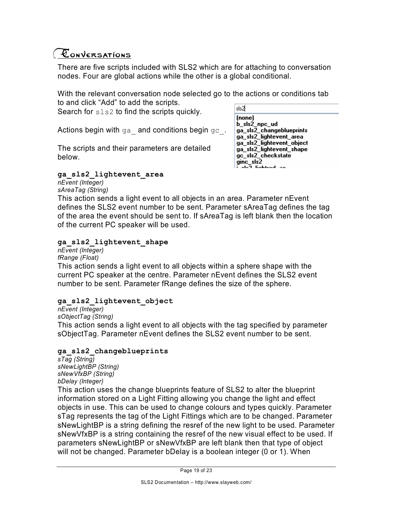### Conversations

There are five scripts included with SLS2 which are for attaching to conversation nodes. Four are global actions while the other is a global conditional.

With the relevant conversation node selected go to the actions or conditions tab to and click "Add" to add the scripts.

Search for sls2 to find the scripts quickly.

Actions begin with ga and conditions begin gc.

The scripts and their parameters are detailed below.

#### **ga\_sls2\_lightevent\_area**

*nEvent (Integer) sAreaTag (String)* lsls2  $[none]$ b\_sls2\_npc\_ud ga\_sls2\_changeblueprints ga\_sls2\_lightevent\_area ga\_sls2\_lightevent\_object ga\_sls2\_lightevent\_shape gc\_sls2\_checkstate uc\_sisz\_c<br>| ginc\_sls2<br>| مامتا : مام ala<sup>7</sup> liabhaal aa

This action sends a light event to all objects in an area. Parameter nEvent defines the SLS2 event number to be sent. Parameter sAreaTag defines the tag of the area the event should be sent to. If sAreaTag is left blank then the location of the current PC speaker will be used.

#### **ga\_sls2\_lightevent\_shape**

*nEvent (Integer) fRange (Float)*

This action sends a light event to all objects within a sphere shape with the current PC speaker at the centre. Parameter nEvent defines the SLS2 event number to be sent. Parameter fRange defines the size of the sphere.

#### **ga\_sls2\_lightevent\_object**

*nEvent (Integer) sObjectTag (String)* This action sends a light event to all objects with the tag specified by parameter sObjectTag. Parameter nEvent defines the SLS2 event number to be sent.

#### **ga\_sls2\_changeblueprints**

*sTag (String) sNewLightBP (String) sNewVfxBP (String) bDelay (Integer)*

This action uses the change blueprints feature of SLS2 to alter the blueprint information stored on a Light Fitting allowing you change the light and effect objects in use. This can be used to change colours and types quickly. Parameter sTag represents the tag of the Light Fittings which are to be changed. Parameter sNewLightBP is a string defining the resref of the new light to be used. Parameter sNewVfxBP is a string containing the resref of the new visual effect to be used. If parameters sNewLightBP or sNewVfxBP are left blank then that type of object will not be changed. Parameter bDelay is a boolean integer (0 or 1). When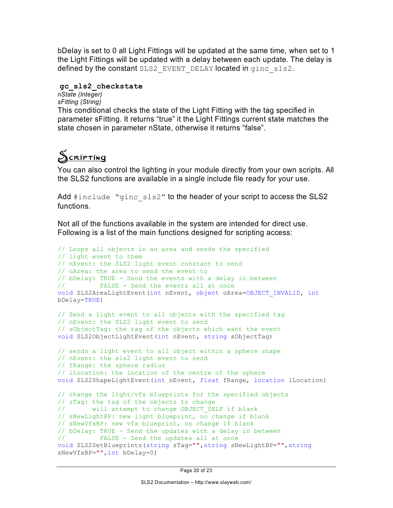bDelay is set to 0 all Light Fittings will be updated at the same time, when set to 1 the Light Fittings will be updated with a delay between each update. The delay is defined by the constant SLS2 EVENT DELAY located in ginc sls2.

#### **gc\_sls2\_checkstate**

*nState (Integer) sFitting (String)* This conditional checks the state of the Light Fitting with the tag specified in

parameter sFitting. It returns "true" it the Light Fittings current state matches the state chosen in parameter nState, otherwise it returns "false".

# Scripting

You can also control the lighting in your module directly from your own scripts. All the SLS2 functions are available in a single include file ready for your use.

Add #include "ginc sls2" to the header of your script to access the SLS2 functions.

Not all of the functions available in the system are intended for direct use. Following is a list of the main functions designed for scripting access:

```
// Loops all objects in an area and sends the specified 
// light event to them
// nEvent: the SLS2 light event constant to send
// oArea: the area to send the event to
// bDelay: TRUE - Send the events with a delay in between 
// FALSE - Send the events all at once
void SLS2AreaLightEvent(int nEvent, object oArea=OBJECT_INVALID, int
bDelay=TRUE)
// Send a light event to all objects with the specified tag
// nEvent: the SLS2 light event to send
// sObjectTag: the tag of the objects which want the event
void SLS2ObjectLightEvent(int nEvent, string sObjectTag)
// sends a light event to all object within a sphere shape
// nEvent: the sls2 light event to send
// fRange: the sphere radius
// lLocation: the location of the centre of the sphere
void SLS2ShapeLightEvent(int nEvent, float fRange, location lLocation)
// change the light/vfx blueprints for the specified objects
// sTag: the tag of the objects to change
// will attempt to change OBJECT_SELF if blank
// sNewLightBP: new light blueprint, no change if blank
// sNewVfxBP: new vfx blueprint, no change if blank
// bDelay: TRUE - Send the updates with a delay in between 
// FALSE - Send the updates all at once
void SLS2SetBlueprints(string sTag="",string sNewLightBP="",string
sNewVfxBP="",int bDelay=0)
```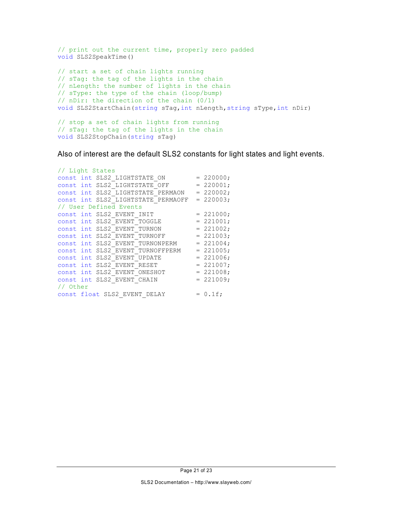```
// print out the current time, properly zero padded
void SLS2SpeakTime()
// start a set of chain lights running
// sTag: the tag of the lights in the chain
// nLength: the number of lights in the chain
// sType: the type of the chain (loop/bump)
// nDir: the direction of the chain (0/1)
void SLS2StartChain(string sTag,int nLength,string sType,int nDir)
// stop a set of chain lights from running
// sTag: the tag of the lights in the chain
void SLS2StopChain(string sTag)
```
Also of interest are the default SLS2 constants for light states and light events.

```
// Light States
const int SLS2 LIGHTSTATE ON = 220000;
const int SLS2 LIGHTSTATE OFF = 220001;
const int SLS2 LIGHTSTATE PERMAON = 220002;
const int SLS2 LIGHTSTATE PERMAOFF = 220003;
// User Defined Events
const int SLS2 EVENT INIT = 221000;const int SLS2 EVENT TOGGLE = 221001;
const int SLS2_EVENT_TURNON = 221002;<br>const int SLS2_EVENT_TURNOFF = 221003;
const int SLS2<sup>_</sup>EVENT<sup>_</sup>TURNOFF
const int SLS2 EVENT TURNONPERM = 221004;
const int SLS2 EVENT TURNOFFPERM = 221005;
const int SLS2 EVENT UPDATE = 221006;
const int SLS2 EVENT RESET = 221007;<br>const int SLS2 EVENT ONESHOT = 221008;
const int SLS2 EVENT ONESHOT
const int SLS2 EVENT CHAIN = 221009;
// Other
const float SLS2 EVENT DELAY = 0.1f;
```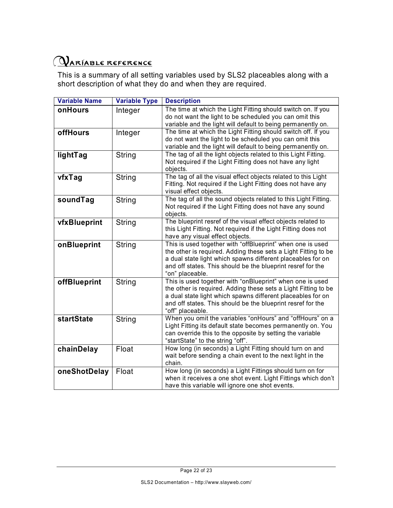# OARIABLE REFERENCE

This is a summary of all setting variables used by SLS2 placeables along with a short description of what they do and when they are required.

| <b>Variable Name</b> | <b>Variable Type</b> | <b>Description</b>                                                                                                                                                                                                                                                            |
|----------------------|----------------------|-------------------------------------------------------------------------------------------------------------------------------------------------------------------------------------------------------------------------------------------------------------------------------|
| onHours              | Integer              | The time at which the Light Fitting should switch on. If you<br>do not want the light to be scheduled you can omit this<br>variable and the light will default to being permanently on.                                                                                       |
| offHours             | Integer              | The time at which the Light Fitting should switch off. If you<br>do not want the light to be scheduled you can omit this<br>variable and the light will default to being permanently on.                                                                                      |
| lightTag             | String               | The tag of all the light objects related to this Light Fitting.<br>Not required if the Light Fitting does not have any light<br>objects.                                                                                                                                      |
| vfxTag               | <b>String</b>        | The tag of all the visual effect objects related to this Light<br>Fitting. Not required if the Light Fitting does not have any<br>visual effect objects.                                                                                                                      |
| soundTag             | String               | The tag of all the sound objects related to this Light Fitting.<br>Not required if the Light Fitting does not have any sound<br>objects.                                                                                                                                      |
| vfxBlueprint         | String               | The blueprint resref of the visual effect objects related to<br>this Light Fitting. Not required if the Light Fitting does not<br>have any visual effect objects.                                                                                                             |
| onBlueprint          | String               | This is used together with "offBlueprint" when one is used<br>the other is required. Adding these sets a Light Fitting to be<br>a dual state light which spawns different placeables for on<br>and off states. This should be the blueprint resref for the<br>"on" placeable. |
| offBlueprint         | String               | This is used together with "onBlueprint" when one is used<br>the other is required. Adding these sets a Light Fitting to be<br>a dual state light which spawns different placeables for on<br>and off states. This should be the blueprint resref for the<br>"off" placeable. |
| <b>startState</b>    | String               | When you omit the variables "onHours" and "offHours" on a<br>Light Fitting its default state becomes permanently on. You<br>can override this to the opposite by setting the variable<br>"startState" to the string "off".                                                    |
| chainDelay           | Float                | How long (in seconds) a Light Fitting should turn on and<br>wait before sending a chain event to the next light in the<br>chain.                                                                                                                                              |
| oneShotDelay         | Float                | How long (in seconds) a Light Fittings should turn on for<br>when it receives a one shot event. Light Fittings which don't<br>have this variable will ignore one shot events.                                                                                                 |